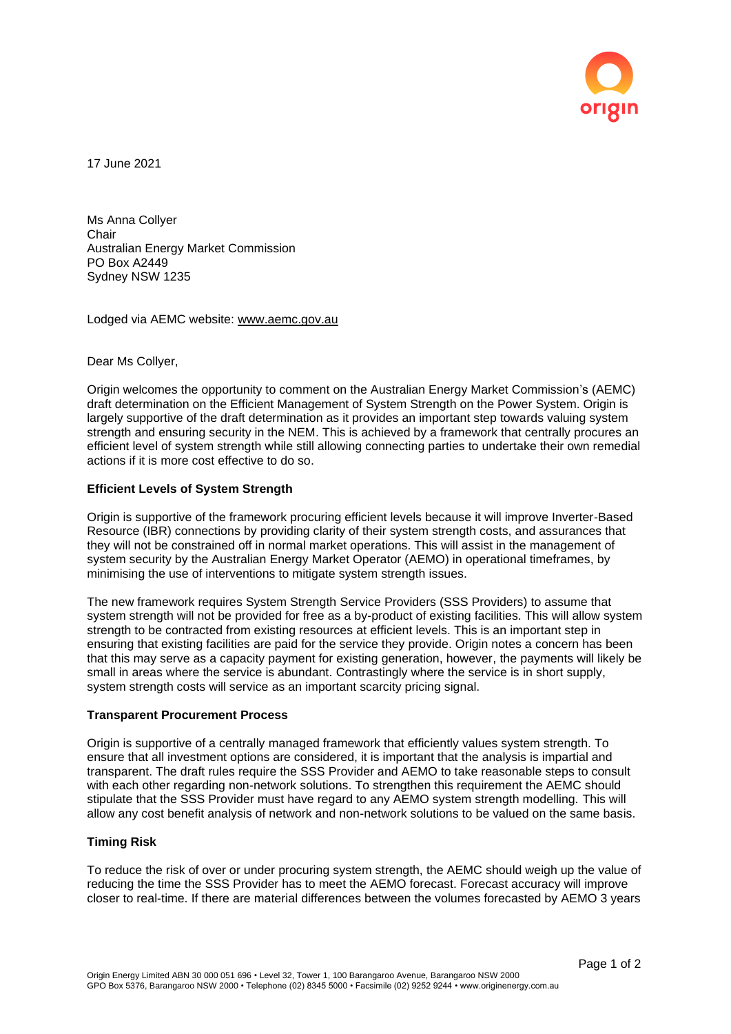

17 June 2021

Ms Anna Collyer **Chair** Australian Energy Market Commission PO Box A2449 Sydney NSW 1235

Lodged via AEMC website: [www.aemc.gov.au](http://www.aemc.gov.au/) 

Dear Ms Collyer,

Origin welcomes the opportunity to comment on the Australian Energy Market Commission's (AEMC) draft determination on the Efficient Management of System Strength on the Power System. Origin is largely supportive of the draft determination as it provides an important step towards valuing system strength and ensuring security in the NEM. This is achieved by a framework that centrally procures an efficient level of system strength while still allowing connecting parties to undertake their own remedial actions if it is more cost effective to do so.

## **Efficient Levels of System Strength**

Origin is supportive of the framework procuring efficient levels because it will improve Inverter-Based Resource (IBR) connections by providing clarity of their system strength costs, and assurances that they will not be constrained off in normal market operations. This will assist in the management of system security by the Australian Energy Market Operator (AEMO) in operational timeframes, by minimising the use of interventions to mitigate system strength issues.

The new framework requires System Strength Service Providers (SSS Providers) to assume that system strength will not be provided for free as a by-product of existing facilities. This will allow system strength to be contracted from existing resources at efficient levels. This is an important step in ensuring that existing facilities are paid for the service they provide. Origin notes a concern has been that this may serve as a capacity payment for existing generation, however, the payments will likely be small in areas where the service is abundant. Contrastingly where the service is in short supply, system strength costs will service as an important scarcity pricing signal.

## **Transparent Procurement Process**

Origin is supportive of a centrally managed framework that efficiently values system strength. To ensure that all investment options are considered, it is important that the analysis is impartial and transparent. The draft rules require the SSS Provider and AEMO to take reasonable steps to consult with each other regarding non-network solutions. To strengthen this requirement the AEMC should stipulate that the SSS Provider must have regard to any AEMO system strength modelling. This will allow any cost benefit analysis of network and non-network solutions to be valued on the same basis.

## **Timing Risk**

To reduce the risk of over or under procuring system strength, the AEMC should weigh up the value of reducing the time the SSS Provider has to meet the AEMO forecast. Forecast accuracy will improve closer to real-time. If there are material differences between the volumes forecasted by AEMO 3 years